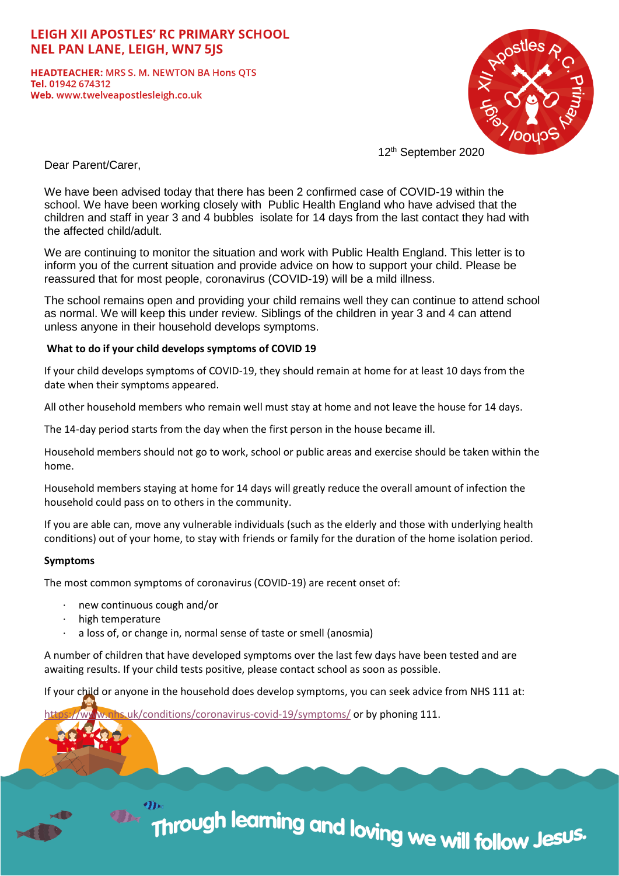# **LEIGH XII APOSTLES' RC PRIMARY SCHOOL NEL PAN LANE, LEIGH, WN7 5IS**

**HEADTEACHER: MRS S. M. NEWTON BA Hons QTS** Tel. 01942 674312 Web. www.twelveapostlesleigh.co.uk



12th September 2020

Dear Parent/Carer,

We have been advised today that there has been 2 confirmed case of COVID-19 within the school. We have been working closely with Public Health England who have advised that the children and staff in year 3 and 4 bubbles isolate for 14 days from the last contact they had with the affected child/adult.

We are continuing to monitor the situation and work with Public Health England. This letter is to inform you of the current situation and provide advice on how to support your child. Please be reassured that for most people, coronavirus (COVID-19) will be a mild illness.

The school remains open and providing your child remains well they can continue to attend school as normal. We will keep this under review. Siblings of the children in year 3 and 4 can attend unless anyone in their household develops symptoms.

## **What to do if your child develops symptoms of COVID 19**

If your child develops symptoms of COVID-19, they should remain at home for at least 10 days from the date when their symptoms appeared.

All other household members who remain well must stay at home and not leave the house for 14 days.

The 14-day period starts from the day when the first person in the house became ill.

Household members should not go to work, school or public areas and exercise should be taken within the home.

Household members staying at home for 14 days will greatly reduce the overall amount of infection the household could pass on to others in the community.

If you are able can, move any vulnerable individuals (such as the elderly and those with underlying health conditions) out of your home, to stay with friends or family for the duration of the home isolation period.

### **Symptoms**

The most common symptoms of coronavirus (COVID-19) are recent onset of:

- new continuous cough and/or
- high temperature
- a loss of, or change in, normal sense of taste or smell (anosmia)

A number of children that have developed symptoms over the last few days have been tested and are awaiting results. If your child tests positive, please contact school as soon as possible.

If your child or anyone in the household does develop symptoms, you can seek advice from NHS 111 at:

 $uk/conditions/coronavirus-covid-19/symptoms/ or by phoning 111.$ 

# Through learning and loving we will follow Jes<sup>us.</sup>